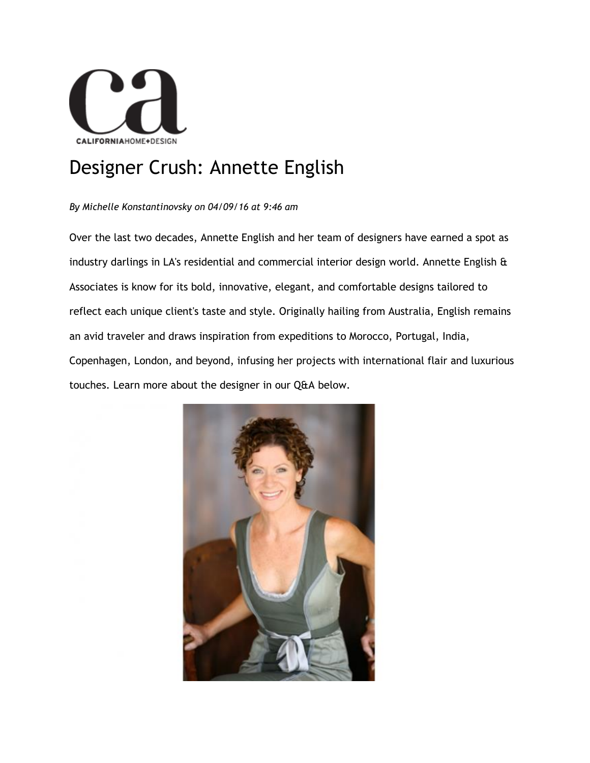

# Designer Crush: Annette English

#### *By Michelle Konstantinovsky on 04/09/16 at 9:46 am*

Over the last two decades, Annette English and her team of designers have earned a spot as industry darlings in LA's residential and commercial interior design world. Annette English & Associates is know for its bold, innovative, elegant, and comfortable designs tailored to reflect each unique client's taste and style. Originally hailing from Australia, English remains an avid traveler and draws inspiration from expeditions to Morocco, Portugal, India, Copenhagen, London, and beyond, infusing her projects with international flair and luxurious touches. Learn more about the designer in our Q&A below.

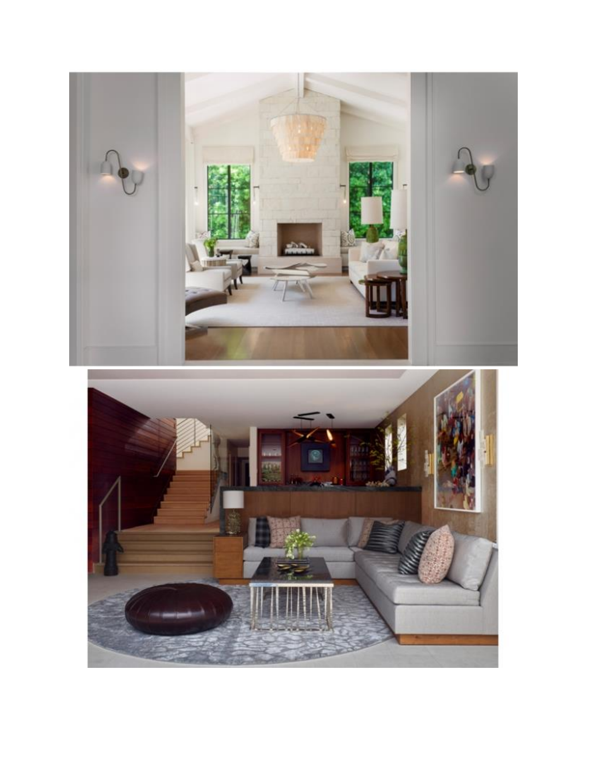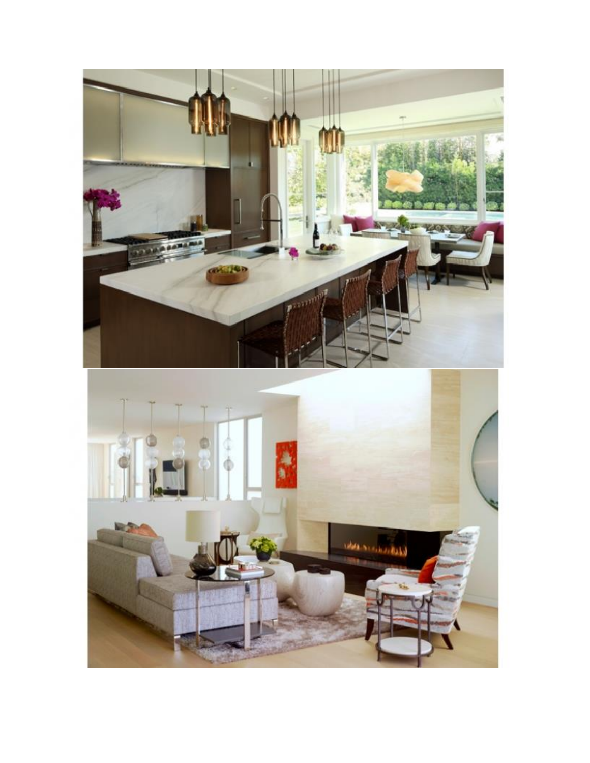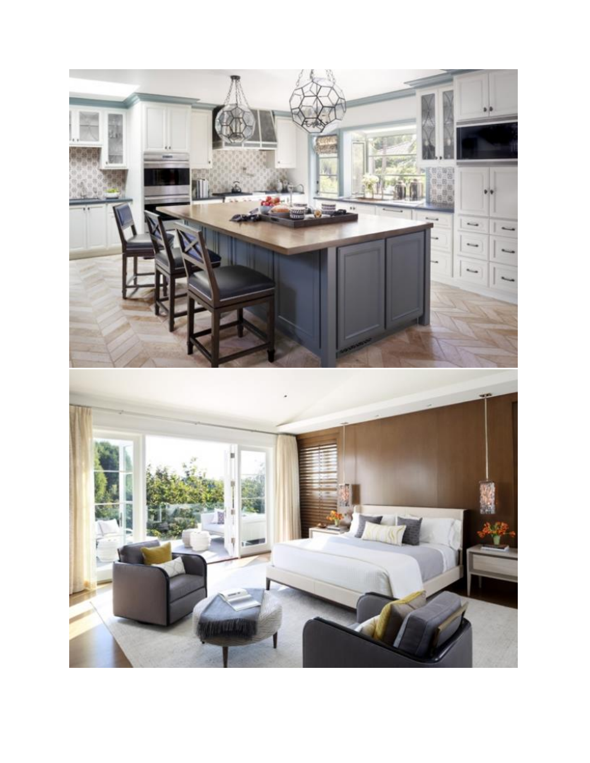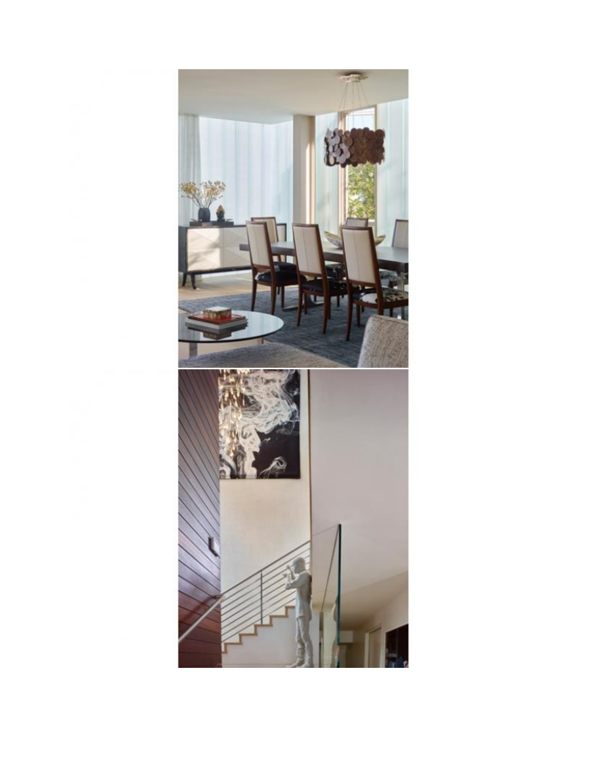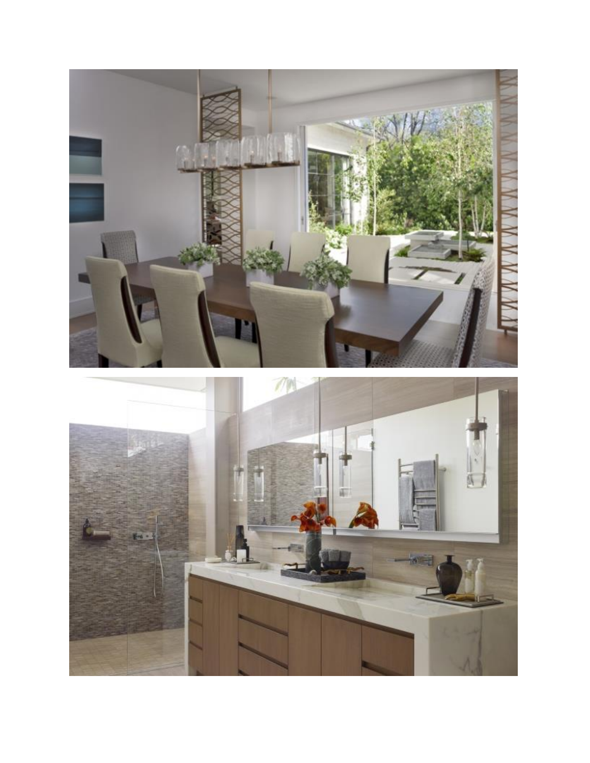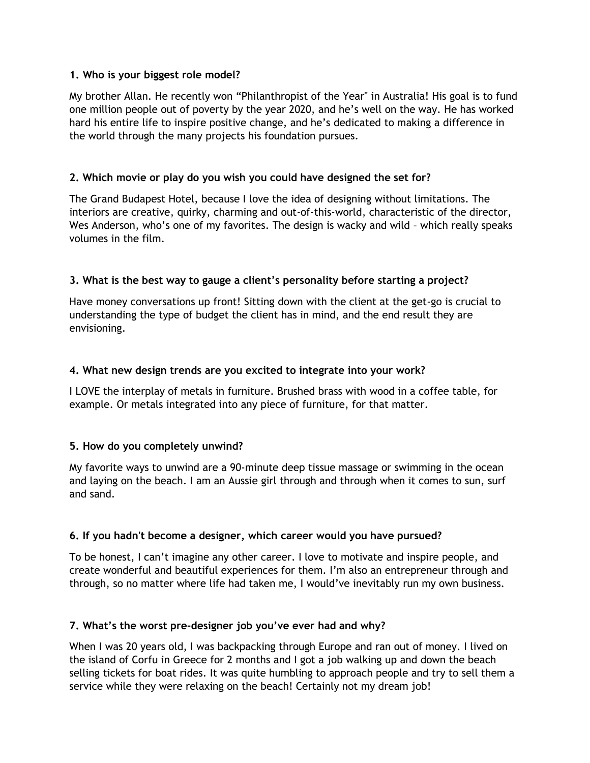#### **1. Who is your biggest role model?**

My brother Allan. He recently won "Philanthropist of the Year" in Australia! His goal is to fund one million people out of poverty by the year 2020, and he's well on the way. He has worked hard his entire life to inspire positive change, and he's dedicated to making a difference in the world through the many projects his foundation pursues.

#### **2. Which movie or play do you wish you could have designed the set for?**

The Grand Budapest Hotel, because I love the idea of designing without limitations. The interiors are creative, quirky, charming and out-of-this-world, characteristic of the director, Wes Anderson, who's one of my favorites. The design is wacky and wild – which really speaks volumes in the film.

### **3. What is the best way to gauge a client's personality before starting a project?**

Have money conversations up front! Sitting down with the client at the get-go is crucial to understanding the type of budget the client has in mind, and the end result they are envisioning.

#### **4. What new design trends are you excited to integrate into your work?**

I LOVE the interplay of metals in furniture. Brushed brass with wood in a coffee table, for example. Or metals integrated into any piece of furniture, for that matter.

#### **5. How do you completely unwind?**

My favorite ways to unwind are a 90-minute deep tissue massage or swimming in the ocean and laying on the beach. I am an Aussie girl through and through when it comes to sun, surf and sand.

#### **6. If you hadn't become a designer, which career would you have pursued?**

To be honest, I can't imagine any other career. I love to motivate and inspire people, and create wonderful and beautiful experiences for them. I'm also an entrepreneur through and through, so no matter where life had taken me, I would've inevitably run my own business.

#### **7. What's the worst pre-designer job you've ever had and why?**

When I was 20 years old, I was backpacking through Europe and ran out of money. I lived on the island of Corfu in Greece for 2 months and I got a job walking up and down the beach selling tickets for boat rides. It was quite humbling to approach people and try to sell them a service while they were relaxing on the beach! Certainly not my dream job!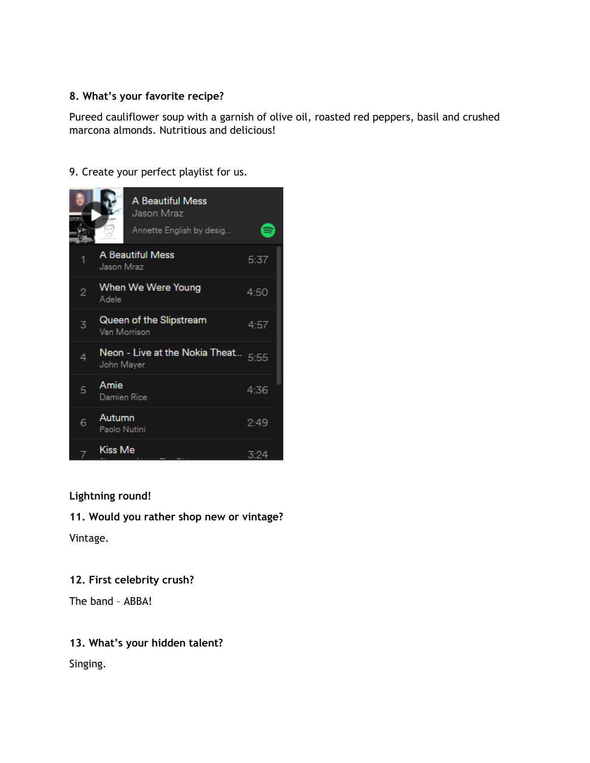#### **8. What's your favorite recipe?**

Pureed cauliflower soup with a garnish of olive oil, roasted red peppers, basil and crushed marcona almonds. Nutritious and delicious!

9. Create your perfect playlist for us.



#### **Lightning round!**

**11. Would you rather shop new or vintage?**

Vintage.

# **12. First celebrity crush?**

The band – ABBA!

# **13. What's your hidden talent?**

Singing.